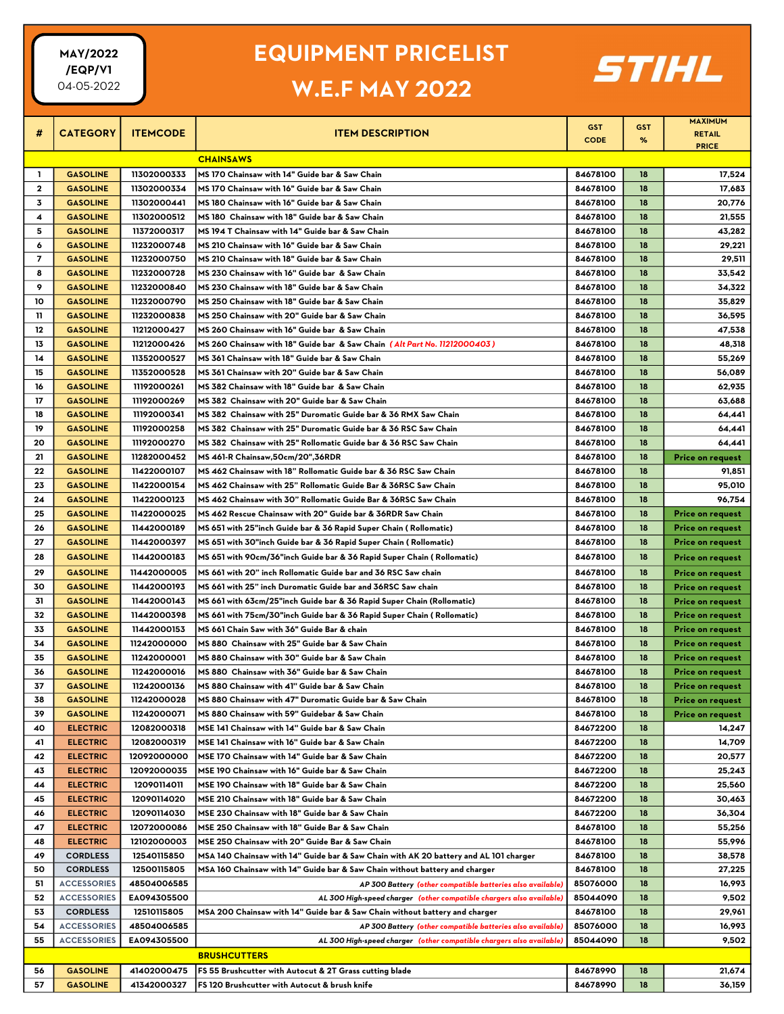#### EQUIPMENT PRICELIST

# W.E.F MAY 2022



|                     |                                    |                            |                                                                                                                        | <b>GST</b>           | <b>GST</b> | <b>MAXIMUM</b>                              |  |  |
|---------------------|------------------------------------|----------------------------|------------------------------------------------------------------------------------------------------------------------|----------------------|------------|---------------------------------------------|--|--|
| #                   | <b>CATEGORY</b>                    | <b>ITEMCODE</b>            | <b>ITEM DESCRIPTION</b>                                                                                                | <b>CODE</b>          | %          | <b>RETAIL</b>                               |  |  |
|                     |                                    |                            |                                                                                                                        |                      |            | <b>PRICE</b>                                |  |  |
| <b>CHAINSAWS</b>    |                                    |                            |                                                                                                                        |                      |            |                                             |  |  |
| L.                  | <b>GASOLINE</b>                    | 11302000333                | MS 170 Chainsaw with 14" Guide bar & Saw Chain                                                                         | 84678100             | 18         | 17,524                                      |  |  |
| $\mathbf{2}$<br>3   | <b>GASOLINE</b>                    | 11302000334                | MS 170 Chainsaw with 16" Guide bar & Saw Chain<br>MS 180 Chainsaw with 16" Guide bar & Saw Chain                       | 84678100<br>84678100 | 18<br>18   | 17,683                                      |  |  |
|                     | <b>GASOLINE</b>                    | 11302000441                |                                                                                                                        |                      |            | 20,776                                      |  |  |
| 4                   | <b>GASOLINE</b>                    | 11302000512                | MS 180 Chainsaw with 18" Guide bar & Saw Chain                                                                         | 84678100             | 18         | 21,555                                      |  |  |
| 5                   | <b>GASOLINE</b>                    | 11372000317                | MS 194 T Chainsaw with 14" Guide bar & Saw Chain                                                                       | 84678100             | 18         | 43,282                                      |  |  |
| 6<br>$\overline{ }$ | <b>GASOLINE</b><br><b>GASOLINE</b> | 11232000748<br>11232000750 | MS 210 Chainsaw with 16" Guide bar & Saw Chain<br>MS 210 Chainsaw with 18" Guide bar & Saw Chain                       | 84678100<br>84678100 | 18<br>18   | 29,221<br>29,511                            |  |  |
| 8                   |                                    | 11232000728                |                                                                                                                        |                      | 18         |                                             |  |  |
| 9                   | <b>GASOLINE</b><br><b>GASOLINE</b> | 11232000840                | MS 230 Chainsaw with 16" Guide bar & Saw Chain<br>MS 230 Chainsaw with 18" Guide bar & Saw Chain                       | 84678100<br>84678100 | 18         | 33,542                                      |  |  |
| 10                  | <b>GASOLINE</b>                    | 11232000790                | MS 250 Chainsaw with 18" Guide bar & Saw Chain                                                                         | 84678100             | 18         | 34,322                                      |  |  |
| 11                  | <b>GASOLINE</b>                    | 11232000838                | MS 250 Chainsaw with 20" Guide bar & Saw Chain                                                                         | 84678100             | 18         | 35,829<br>36,595                            |  |  |
| 12                  | <b>GASOLINE</b>                    | 11212000427                | MS 260 Chainsaw with 16" Guide bar & Saw Chain                                                                         | 84678100             | 18         | 47,538                                      |  |  |
| 13                  | <b>GASOLINE</b>                    | 11212000426                | MS 260 Chainsaw with 18" Guide bar & Saw Chain (Alt Part No. 11212000403)                                              | 84678100             | 18         | 48,318                                      |  |  |
| 14                  | <b>GASOLINE</b>                    | 11352000527                | MS 361 Chainsaw with 18" Guide bar & Saw Chain                                                                         | 84678100             | 18         | 55,269                                      |  |  |
| 15                  | <b>GASOLINE</b>                    | 11352000528                | MS 361 Chainsaw with 20" Guide bar & Saw Chain                                                                         | 84678100             | 18         | 56,089                                      |  |  |
| 16                  | <b>GASOLINE</b>                    | 11192000261                | MS 382 Chainsaw with 18" Guide bar & Saw Chain                                                                         | 84678100             | 18         | 62,935                                      |  |  |
| 17                  | <b>GASOLINE</b>                    | 11192000269                | MS 382 Chainsaw with 20" Guide bar & Saw Chain                                                                         | 84678100             | 18         | 63,688                                      |  |  |
| 18                  | <b>GASOLINE</b>                    | 11192000341                | MS 382  Chainsaw with 25" Duromatic Guide bar & 36 RMX Saw Chain                                                       | 84678100             | 18         | 64,441                                      |  |  |
| 19                  | <b>GASOLINE</b>                    | 11192000258                | MS 382 Chainsaw with 25" Duromatic Guide bar & 36 RSC Saw Chain                                                        | 84678100             | 18         | 64,441                                      |  |  |
| 20                  | <b>GASOLINE</b>                    | 11192000270                | MS 382 Chainsaw with 25" Rollomatic Guide bar & 36 RSC Saw Chain                                                       | 84678100             | 18         | 64,441                                      |  |  |
| 21                  | <b>GASOLINE</b>                    | 11282000452                | MS 461-R Chainsaw,50cm/20",36RDR                                                                                       | 84678100             | 18         | Price on request                            |  |  |
| 22                  | <b>GASOLINE</b>                    | 11422000107                | MS 462 Chainsaw with 18" Rollomatic Guide bar & 36 RSC Saw Chain                                                       | 84678100             | 18         | 91,851                                      |  |  |
| 23                  | <b>GASOLINE</b>                    | 11422000154                | MS 462 Chainsaw with 25" Rollomatic Guide Bar & 36RSC Saw Chain                                                        | 84678100             | 18         | 95,010                                      |  |  |
| 24                  | <b>GASOLINE</b>                    | 11422000123                | MS 462 Chainsaw with 30" Rollomatic Guide Bar & 36RSC Saw Chain                                                        | 84678100             | 18         | 96,754                                      |  |  |
| 25                  | <b>GASOLINE</b>                    | 11422000025                | MS 462 Rescue Chainsaw with 20" Guide bar & 36RDR Saw Chain                                                            | 84678100             | 18         | <b>Price on request</b>                     |  |  |
| 26                  | <b>GASOLINE</b>                    | 11442000189                | MS 651 with 25"inch Guide bar & 36 Rapid Super Chain ( Rollomatic)                                                     | 84678100             | 18         | <b>Price on request</b>                     |  |  |
| 27                  | <b>GASOLINE</b>                    | 11442000397                | MS 651 with 30"inch Guide bar & 36 Rapid Super Chain ( Rollomatic)                                                     | 84678100             | 18         |                                             |  |  |
|                     | <b>GASOLINE</b>                    | 11442000183                |                                                                                                                        | 84678100             | 18         | <b>Price on request</b>                     |  |  |
| 28                  |                                    |                            | MS 651 with 90cm/36"inch Guide bar & 36 Rapid Super Chain ( Rollomatic)                                                |                      |            | <b>Price on request</b>                     |  |  |
| 29                  | <b>GASOLINE</b>                    | 11442000005                | MS 661 with 20" inch Rollomatic Guide bar and 36 RSC Saw chain                                                         | 84678100             | 18         | <b>Price on request</b>                     |  |  |
| 30<br>31            | <b>GASOLINE</b><br><b>GASOLINE</b> | 11442000193<br>11442000143 | MS 661 with 25" inch Duromatic Guide bar and 36RSC Saw chain                                                           | 84678100<br>84678100 | 18<br>18   | <b>Price on request</b>                     |  |  |
| 32                  | <b>GASOLINE</b>                    | 11442000398                | MS 661 with 63cm/25"inch Guide bar & 36 Rapid Super Chain (Rollomatic)                                                 | 84678100             | 18         | Price on request                            |  |  |
| 33                  | <b>GASOLINE</b>                    | 11442000153                | MS 661 with 75cm/30"inch Guide bar & 36 Rapid Super Chain ( Rollomatic)<br>MS 661 Chain Saw with 36" Guide Bar & chain | 84678100             | 18         | Price on request                            |  |  |
| 34                  | <b>GASOLINE</b>                    | 11242000000                | MS 880 Chainsaw with 25" Guide bar & Saw Chain                                                                         | 84678100             | 18         | <b>Price on request</b><br>Price on request |  |  |
| 35                  | <b>GASOLINE</b>                    | 11242000001                | MS 880 Chainsaw with 30" Guide bar & Saw Chain                                                                         | 84678100             | 18         | <b>Price on request</b>                     |  |  |
| 36                  | <b>GASOLINE</b>                    | 11242000016                | MS 880 Chainsaw with 36" Guide bar & Saw Chain                                                                         | 84678100             | 18         | <b>Price on request</b>                     |  |  |
| 37                  | <b>GASOLINE</b>                    | 11242000136                | MS 880 Chainsaw with 41" Guide bar & Saw Chain                                                                         | 84678100             | 18         | <b>Price on request</b>                     |  |  |
| 38                  | <b>GASOLINE</b>                    | 11242000028                | MS 880 Chainsaw with 47" Duromatic Guide bar & Saw Chain                                                               | 84678100             | 18         | Price on request                            |  |  |
| 39                  | <b>GASOLINE</b>                    | 11242000071                | MS 880 Chainsaw with 59" Guidebar & Saw Chain                                                                          | 84678100             | 18         | Price on request                            |  |  |
| 40                  | <b>ELECTRIC</b>                    | 12082000318                | MSE 141 Chainsaw with 14" Guide bar & Saw Chain                                                                        | 84672200             | 18         | 14,247                                      |  |  |
| 41                  | <b>ELECTRIC</b>                    | 12082000319                | MSE 141 Chainsaw with 16" Guide bar & Saw Chain                                                                        | 84672200             | 18         | 14,709                                      |  |  |
| 42                  | <b>ELECTRIC</b>                    | 12092000000                | MSE 170 Chainsaw with 14" Guide bar & Saw Chain                                                                        | 84672200             | 18         | 20,577                                      |  |  |
| 43                  | <b>ELECTRIC</b>                    | 12092000035                | MSE 190 Chainsaw with 16" Guide bar & Saw Chain                                                                        | 84672200             | 18         | 25,243                                      |  |  |
| 44                  | <b>ELECTRIC</b>                    | 12090114011                | MSE 190 Chainsaw with 18" Guide bar & Saw Chain                                                                        | 84672200             | 18         | 25,560                                      |  |  |
| 45                  | <b>ELECTRIC</b>                    | 12090114020                | MSE 210 Chainsaw with 18" Guide bar & Saw Chain                                                                        | 84672200             | 18         | 30,463                                      |  |  |
| 46                  | <b>ELECTRIC</b>                    | 12090114030                | MSE 230 Chainsaw with 18" Guide bar & Saw Chain                                                                        | 84672200             | 18         | 36,304                                      |  |  |
| 47                  | <b>ELECTRIC</b>                    | 12072000086                | MSE 250 Chainsaw with 18" Guide Bar & Saw Chain                                                                        | 84678100             | 18         | 55,256                                      |  |  |
| 48                  | <b>ELECTRIC</b>                    | 12102000003                | MSE 250 Chainsaw with 20" Guide Bar & Saw Chain                                                                        | 84678100             | 18         | 55,996                                      |  |  |
| 49                  | <b>CORDLESS</b>                    | 12540115850                | MSA 140 Chainsaw with 14" Guide bar & Saw Chain with AK 20 battery and AL 101 charger                                  | 84678100             | 18         | 38,578                                      |  |  |
| 50                  | <b>CORDLESS</b>                    | 12500115805                | MSA 160 Chainsaw with 14" Guide bar & Saw Chain without battery and charger                                            | 84678100             | 18         | 27,225                                      |  |  |
| 51                  | <b>ACCESSORIES</b>                 | 48504006585                | AP 300 Battery (other compatible batteries also available)                                                             | 85076000             | 18         | 16,993                                      |  |  |
| 52                  | <b>ACCESSORIES</b>                 | EA094305500                | AL 300 High-speed charger (other compatible chargers also available)                                                   | 85044090             | 18         | 9,502                                       |  |  |
| 53                  | <b>CORDLESS</b>                    | 12510115805                | MSA 200 Chainsaw with 14" Guide bar & Saw Chain without battery and charger                                            | 84678100             | 18         | 29,961                                      |  |  |
| 54                  | <b>ACCESSORIES</b>                 | 48504006585                | AP 300 Battery (other compatible batteries also available)                                                             | 85076000             | 18         | 16,993                                      |  |  |
| 55                  | <b>ACCESSORIES</b>                 | EA094305500                | AL 300 High-speed charger (other compatible chargers also available)                                                   | 85044090             | 18         | 9,502                                       |  |  |
|                     |                                    |                            | <b>BRUSHCUTTERS</b>                                                                                                    |                      |            |                                             |  |  |
| 56                  | <b>GASOLINE</b>                    | 41402000475                | FS 55 Brushcutter with Autocut & 2T Grass cutting blade                                                                | 84678990             | 18         | 21,674                                      |  |  |
| 57                  | <b>GASOLINE</b>                    | 41342000327                | FS 120 Brushcutter with Autocut & brush knife                                                                          | 84678990             | 18         | 36,159                                      |  |  |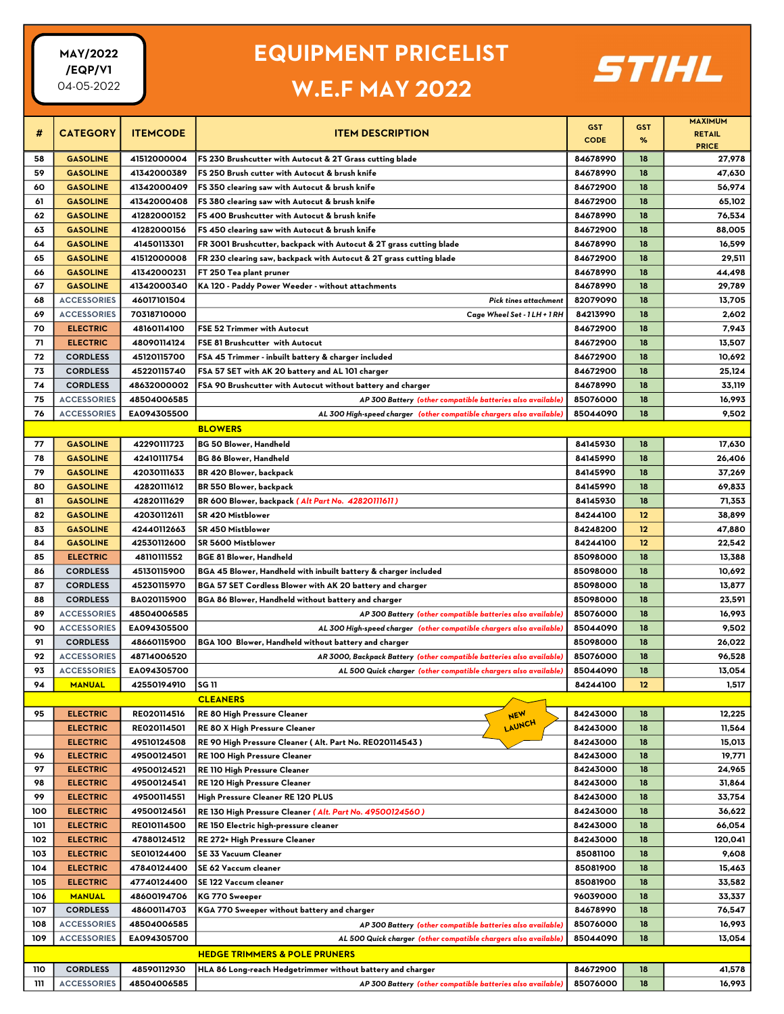### EQUIPMENT PRICELIST

# W.E.F MAY 2022



|          |                                    |                            |                                                                                                 |                           |                 | <b>MAXIMUM</b>   |
|----------|------------------------------------|----------------------------|-------------------------------------------------------------------------------------------------|---------------------------|-----------------|------------------|
| #        | <b>CATEGORY</b>                    | <b>ITEMCODE</b>            | <b>ITEM DESCRIPTION</b>                                                                         | <b>GST</b><br><b>CODE</b> | <b>GST</b><br>% | <b>RETAIL</b>    |
|          |                                    |                            |                                                                                                 |                           |                 | <b>PRICE</b>     |
| 58       | <b>GASOLINE</b>                    | 41512000004                | FS 230 Brushcutter with Autocut & 2T Grass cutting blade                                        | 84678990                  | 18              | 27,978           |
| 59       | <b>GASOLINE</b>                    | 41342000389                | FS 250 Brush cutter with Autocut & brush knife                                                  | 84678990                  | 18              | 47,630           |
| 60       | <b>GASOLINE</b>                    | 41342000409                | FS 350 clearing saw with Autocut & brush knife                                                  | 84672900                  | 18              | 56,974           |
| 61<br>62 | <b>GASOLINE</b><br><b>GASOLINE</b> | 41342000408<br>41282000152 | FS 380 clearing saw with Autocut & brush knife<br>FS 400 Brushcutter with Autocut & brush knife | 84672900<br>84678990      | 18<br>18        | 65,102<br>76,534 |
| 63       | <b>GASOLINE</b>                    | 41282000156                | FS 450 clearing saw with Autocut & brush knife                                                  | 84672900                  | 18              | 88,005           |
| 64       | <b>GASOLINE</b>                    | 41450113301                | FR 3001 Brushcutter, backpack with Autocut & 2T grass cutting blade                             | 84678990                  | 18              | 16,599           |
| 65       | <b>GASOLINE</b>                    | 41512000008                | FR 230 clearing saw, backpack with Autocut & 2T grass cutting blade                             | 84672900                  | 18              | 29,511           |
| 66       | <b>GASOLINE</b>                    | 41342000231                | FT 250 Tea plant pruner                                                                         | 84678990                  | 18              | 44,498           |
| 67       | <b>GASOLINE</b>                    | 41342000340                | KA 120 - Paddy Power Weeder - without attachments                                               | 84678990                  | 18              | 29,789           |
| 68       | <b>ACCESSORIES</b>                 | 46017101504                | Pick tines attachment                                                                           | 82079090                  | 18              | 13,705           |
| 69       | <b>ACCESSORIES</b>                 | 70318710000                | Cage Wheel Set - 1 LH + 1 RH                                                                    | 84213990                  | 18              | 2,602            |
| 70       | <b>ELECTRIC</b>                    | 48160114100                | FSE 52 Trimmer with Autocut                                                                     | 84672900                  | 18              | 7,943            |
| 71       | <b>ELECTRIC</b>                    | 48090114124                | FSE 81 Brushcutter with Autocut                                                                 | 84672900                  | 18              | 13,507           |
| 72       | <b>CORDLESS</b>                    | 45120115700                | FSA 45 Trimmer - inbuilt battery & charger included                                             | 84672900                  | 18              | 10,692           |
| 73       | <b>CORDLESS</b>                    | 45220115740                | FSA 57 SET with AK 20 battery and AL 101 charger                                                | 84672900                  | 18              | 25,124           |
| 74       | <b>CORDLESS</b>                    | 48632000002                | FSA 90 Brushcutter with Autocut without battery and charger                                     | 84678990                  | 18              | 33,119           |
| 75       | <b>ACCESSORIES</b>                 | 48504006585                | AP 300 Battery (other compatible batteries also available)                                      | 85076000                  | 18              | 16,993           |
| 76       | <b>ACCESSORIES</b>                 | EA094305500                | AL 300 High-speed charger (other compatible chargers also available)                            | 85044090                  | 18              | 9,502            |
|          |                                    |                            | <b>BLOWERS</b>                                                                                  |                           |                 |                  |
|          |                                    |                            |                                                                                                 |                           |                 |                  |
| 77       | <b>GASOLINE</b>                    | 42290111723                | <b>BG 50 Blower, Handheld</b>                                                                   | 84145930                  | 18              | 17,630           |
| 78       | <b>GASOLINE</b>                    | 42410111754                | BG 86 Blower, Handheld                                                                          | 84145990                  | 18              | 26,406           |
| 79       | <b>GASOLINE</b>                    | 42030111633                | BR 420 Blower, backpack                                                                         | 84145990                  | 18              | 37,269           |
| 80       | <b>GASOLINE</b>                    | 42820111612                | BR 550 Blower, backpack                                                                         | 84145990                  | 18              | 69,833           |
| 81       | <b>GASOLINE</b>                    | 42820111629                | BR 600 Blower, backpack (Alt Part No. 42820111611)                                              | 84145930                  | 18              | 71,353           |
| 82       | <b>GASOLINE</b>                    | 42030112611                | SR 420 Mistblower                                                                               | 84244100                  | 12              | 38,899           |
| 83       | <b>GASOLINE</b>                    | 42440112663                | SR 450 Mistblower                                                                               | 84248200                  | 12              | 47,880           |
| 84       | <b>GASOLINE</b>                    | 42530112600                | SR 5600 Mistblower                                                                              | 84244100                  | 12              | 22,542           |
| 85       | <b>ELECTRIC</b>                    | 48110111552                | <b>BGE 81 Blower, Handheld</b>                                                                  | 85098000                  | 18              | 13,388           |
| 86       | <b>CORDLESS</b>                    | 45130115900                | BGA 45 Blower, Handheld with inbuilt battery & charger included                                 | 85098000                  | 18              | 10,692           |
| 87       | <b>CORDLESS</b>                    | 45230115970                | BGA 57 SET Cordless Blower with AK 20 battery and charger                                       | 85098000                  | 18              | 13,877           |
| 88       | <b>CORDLESS</b>                    | BA020115900                | BGA 86 Blower, Handheld without battery and charger                                             | 85098000                  | 18              | 23,591           |
| 89       | <b>ACCESSORIES</b>                 | 48504006585                | AP 300 Battery (other compatible batteries also available)                                      | 85076000                  | 18              | 16,993           |
| 90       | <b>ACCESSORIES</b>                 | EA094305500                | AL 300 High-speed charger (other compatible chargers also available)                            | 85044090                  | 18              | 9,502            |
| 91       | <b>CORDLESS</b>                    | 48660115900                | BGA 100 Blower, Handheld without battery and charger                                            | 85098000                  | 18              | 26,022           |
| 92       | <b>ACCESSORIES</b>                 | 48714006520                | AR 3000, Backpack Battery (other compatible batteries also available)                           | 85076000                  | 18              | 96,528           |
| 93       | <b>ACCESSORIES</b>                 | EA094305700                | AL 500 Quick charger (other compatible chargers also available)                                 | 85044090                  | 18              | 13,054           |
| 94       | <b>MANUAL</b>                      | 42550194910                | SG 11                                                                                           | 84244100                  | 12              | 1,517            |
|          |                                    |                            | <b>CLEANERS</b>                                                                                 |                           |                 |                  |
| 95       | <b>ELECTRIC</b>                    | RE020114516                | NEW<br>RE 80 High Pressure Cleaner                                                              | 84243000                  | 18              | 12,225           |
|          | <b>ELECTRIC</b>                    | RE020114501                | LAUNCH<br>RE 80 X High Pressure Cleaner                                                         | 84243000                  | 18              | 11,564           |
|          | <b>ELECTRIC</b>                    | 49510124508                | RE 90 High Pressure Cleaner ( Alt. Part No. RE020114543 )                                       | 84243000                  | 18              | 15,013           |
| 96       | <b>ELECTRIC</b>                    | 49500124501                | RE 100 High Pressure Cleaner                                                                    | 84243000                  | 18              | 19,771           |
| 97       | <b>ELECTRIC</b>                    | 49500124521                | RE 110 High Pressure Cleaner                                                                    | 84243000                  | 18              | 24,965           |
| 98       | <b>ELECTRIC</b>                    | 49500124541                | RE 120 High Pressure Cleaner                                                                    | 84243000                  | 18              | 31,864           |
| 99       | <b>ELECTRIC</b>                    | 49500114551                | High Pressure Cleaner RE 120 PLUS                                                               | 84243000                  | 18              | 33,754           |
| 100      | <b>ELECTRIC</b>                    | 49500124561                | RE 130 High Pressure Cleaner (Alt. Part No. 49500124560)                                        | 84243000                  | 18              | 36,622           |
| 101      | <b>ELECTRIC</b>                    | RE010114500                | RE 150 Electric high-pressure cleaner                                                           | 84243000                  | 18              | 66,054           |
| 102      | <b>ELECTRIC</b>                    | 47880124512                | RE 272+ High Pressure Cleaner                                                                   | 84243000                  | 18              | 120,041          |
| 103      | <b>ELECTRIC</b>                    | SE010124400                | SE 33 Vacuum Cleaner                                                                            | 85081100                  | 18              | 9,608            |
| 104      | <b>ELECTRIC</b>                    | 47840124400                | SE 62 Vaccum cleaner                                                                            | 85081900                  | 18              | 15,463           |
| 105      | <b>ELECTRIC</b>                    | 47740124400                | SE 122 Vaccum cleaner                                                                           | 85081900                  | 18              | 33,582           |
| 106      | <b>MANUAL</b>                      | 48600194706                | KG 770 Sweeper                                                                                  | 96039000                  | 18              | 33,337           |
| 107      | <b>CORDLESS</b>                    | 48600114703                | KGA 770 Sweeper without battery and charger                                                     | 84678990                  | 18              | 76,547           |
| 108      | <b>ACCESSORIES</b>                 | 48504006585                | AP 300 Battery (other compatible batteries also available)                                      | 85076000                  | 18              | 16,993           |
| 109      | <b>ACCESSORIES</b>                 | EA094305700                | AL 500 Quick charger (other compatible chargers also available)                                 | 85044090                  | 18              | 13,054           |
|          |                                    |                            | <b>HEDGE TRIMMERS &amp; POLE PRUNERS</b>                                                        |                           |                 |                  |
| 110      | <b>CORDLESS</b>                    | 48590112930                | HLA 86 Long-reach Hedgetrimmer without battery and charger                                      | 84672900                  | 18              | 41,578           |
| 111      | <b>ACCESSORIES</b>                 | 48504006585                | AP 300 Battery (other compatible batteries also available)                                      | 85076000                  | 18              | 16,993           |
|          |                                    |                            |                                                                                                 |                           |                 |                  |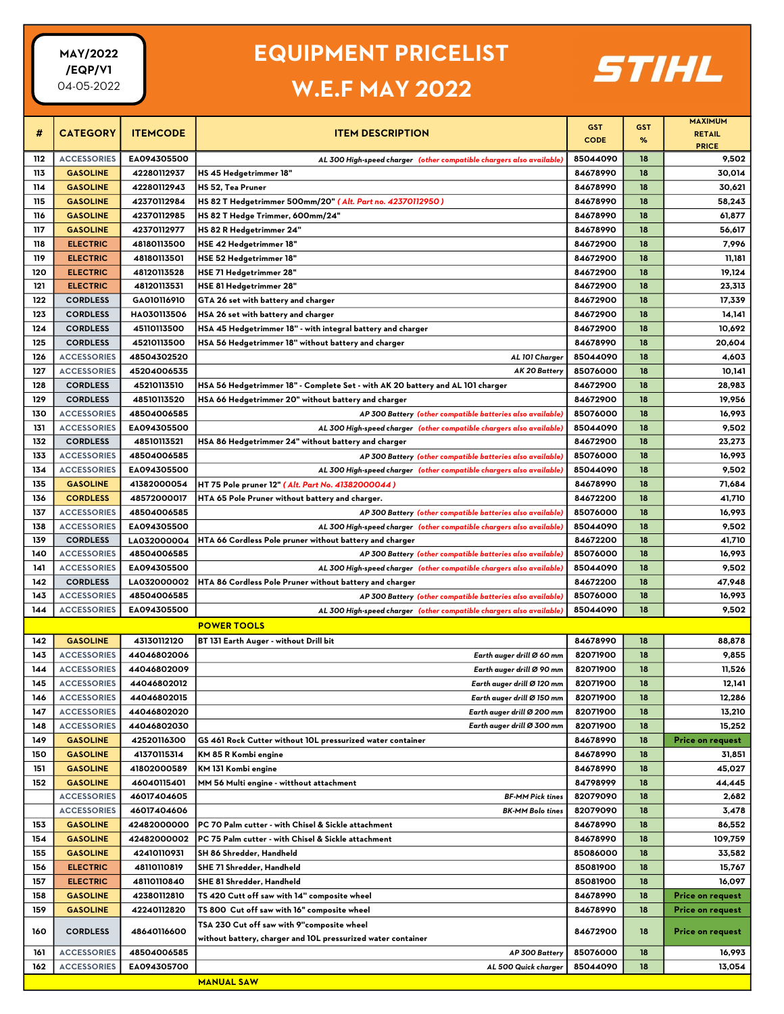### EQUIPMENT PRICELIST

### W.E.F MAY 2022



|     |                    |                 |                                                                                |                           |                 | <b>MAXIMUM</b>   |
|-----|--------------------|-----------------|--------------------------------------------------------------------------------|---------------------------|-----------------|------------------|
| #   | <b>CATEGORY</b>    | <b>ITEMCODE</b> | <b>ITEM DESCRIPTION</b>                                                        | <b>GST</b><br><b>CODE</b> | <b>GST</b><br>% | <b>RETAIL</b>    |
|     |                    |                 |                                                                                |                           |                 | <b>PRICE</b>     |
| 112 | <b>ACCESSORIES</b> | EA094305500     | AL 300 High-speed charger (other compatible chargers also available)           | 85044090                  | 18              | 9,502            |
| 113 | <b>GASOLINE</b>    | 42280112937     | HS 45 Hedgetrimmer 18"                                                         | 84678990                  | 18              | 30,014           |
| 114 | <b>GASOLINE</b>    | 42280112943     | HS 52, Tea Pruner                                                              | 84678990                  | 18              | 30,621           |
| 115 | <b>GASOLINE</b>    | 42370112984     | HS 82 T Hedgetrimmer 500mm/20" (Alt. Part no. 42370112950)                     | 84678990                  | 18              | 58,243           |
| 116 | <b>GASOLINE</b>    | 42370112985     | HS 82 T Hedge Trimmer, 600mm/24"                                               | 84678990                  | 18              | 61,877           |
| 117 | <b>GASOLINE</b>    | 42370112977     | HS 82 R Hedgetrimmer 24"                                                       | 84678990                  | 18              | 56,617           |
| 118 | <b>ELECTRIC</b>    | 48180113500     | HSE 42 Hedgetrimmer 18"                                                        | 84672900                  | 18              | 7,996            |
| 119 | <b>ELECTRIC</b>    | 48180113501     | HSE 52 Hedgetrimmer 18"                                                        | 84672900                  | 18              | 11,181           |
| 120 | <b>ELECTRIC</b>    | 48120113528     | HSE 71 Hedgetrimmer 28"                                                        | 84672900                  | 18              | 19,124           |
| 121 | <b>ELECTRIC</b>    | 48120113531     | HSE 81 Hedgetrimmer 28"                                                        | 84672900                  | 18              | 23,313           |
| 122 | <b>CORDLESS</b>    | GA010116910     | GTA 26 set with battery and charger                                            | 84672900                  | 18              | 17,339           |
| 123 | <b>CORDLESS</b>    | HA030113506     | HSA 26 set with battery and charger                                            | 84672900                  | 18              | 14,141           |
| 124 | <b>CORDLESS</b>    | 45110113500     | HSA 45 Hedgetrimmer 18" - with integral battery and charger                    | 84672900                  | 18              | 10,692           |
| 125 | <b>CORDLESS</b>    | 45210113500     | HSA 56 Hedgetrimmer 18" without battery and charger                            | 84678990                  | 18              | 20,604           |
| 126 | <b>ACCESSORIES</b> | 48504302520     | AL 101 Charger                                                                 | 85044090                  | 18              | 4,603            |
| 127 | <b>ACCESSORIES</b> | 45204006535     | AK 20 Battery                                                                  | 85076000                  | 18              | 10,141           |
| 128 | <b>CORDLESS</b>    | 45210113510     | HSA 56 Hedgetrimmer 18" - Complete Set - with AK 20 battery and AL 101 charger | 84672900                  | 18              | 28,983           |
| 129 | <b>CORDLESS</b>    | 48510113520     | HSA 66 Hedgetrimmer 20" without battery and charger                            | 84672900                  | 18              | 19,956           |
| 130 | <b>ACCESSORIES</b> | 48504006585     | AP 300 Battery (other compatible batteries also available)                     | 85076000                  | 18              | 16,993           |
| 131 | <b>ACCESSORIES</b> | EA094305500     | AL 300 High-speed charger (other compatible chargers also available)           | 85044090                  | 18              | 9,502            |
| 132 | <b>CORDLESS</b>    | 48510113521     | HSA 86 Hedgetrimmer 24" without battery and charger                            | 84672900                  | 18              | 23,273           |
| 133 | <b>ACCESSORIES</b> | 48504006585     | AP 300 Battery (other compatible batteries also available)                     | 85076000                  | 18              | 16,993           |
| 134 | <b>ACCESSORIES</b> | EA094305500     | AL 300 High-speed charger (other compatible chargers also available)           | 85044090                  | 18              | 9,502            |
| 135 | <b>GASOLINE</b>    | 41382000054     | HT 75 Pole pruner 12" (Alt. Part No. 41382000044)                              | 84678990                  | 18              | 71,684           |
| 136 | <b>CORDLESS</b>    | 48572000017     | HTA 65 Pole Pruner without battery and charger.                                | 84672200                  | 18              | 41,710           |
| 137 | <b>ACCESSORIES</b> | 48504006585     | AP 300 Battery (other compatible batteries also available)                     | 85076000                  | 18              | 16,993           |
| 138 | <b>ACCESSORIES</b> | EA094305500     | AL 300 High-speed charger (other compatible chargers also available)           | 85044090                  | 18              | 9,502            |
| 139 | <b>CORDLESS</b>    | LA032000004     | HTA 66 Cordless Pole pruner without battery and charger                        | 84672200                  | 18              | 41,710           |
| 140 | <b>ACCESSORIES</b> | 48504006585     | AP 300 Battery (other compatible batteries also available)                     | 85076000                  | 18              | 16,993           |
| 141 | <b>ACCESSORIES</b> | EA094305500     | AL 300 High-speed charger (other compatible chargers also available)           | 85044090                  | 18              | 9,502            |
| 142 | <b>CORDLESS</b>    | LA032000002     | HTA 86 Cordless Pole Pruner without battery and charger                        | 84672200                  | 18              | 47,948           |
| 143 | <b>ACCESSORIES</b> | 48504006585     | AP 300 Battery (other compatible batteries also available)                     | 85076000                  | 18              | 16,993           |
| 144 | <b>ACCESSORIES</b> | EA094305500     | AL 300 High-speed charger (other compatible chargers also available)           | 85044090                  | 18              | 9,502            |
|     |                    |                 | <b>POWER TOOLS</b>                                                             |                           |                 |                  |
| 142 | <b>GASOLINE</b>    | 43130112120     | BT 131 Earth Auger - without Drill bit                                         | 84678990                  | 18              | 88,878           |
| 143 | <b>ACCESSORIES</b> | 44046802006     | Earth auger drill Ø 60 mm                                                      | 82071900                  | 18              | 9,855            |
| 144 | <b>ACCESSORIES</b> | 44046802009     | Earth auger drill Ø 90 mm                                                      | 82071900                  | 18              | 11,526           |
| 145 | <b>ACCESSORIES</b> | 44046802012     | Earth auger drill Ø 120 mm                                                     | 82071900                  | 18              | 12,141           |
| 146 | <b>ACCESSORIES</b> | 44046802015     | Earth auger drill Ø 150 mm                                                     | 82071900                  | 18              | 12,286           |
| 147 | <b>ACCESSORIES</b> | 44046802020     | Earth auger drill Ø 200 mm                                                     | 82071900                  | 18              | 13,210           |
| 148 | <b>ACCESSORIES</b> | 44046802030     | Earth auger drill Ø 300 mm                                                     | 82071900                  | 18              | 15,252           |
| 149 | <b>GASOLINE</b>    | 42520116300     |                                                                                | 84678990                  | 18              | Price on request |
|     |                    |                 | GS 461 Rock Cutter without 10L pressurized water container                     |                           |                 |                  |
| 150 | <b>GASOLINE</b>    | 41370115314     | KM 85 R Kombi engine                                                           | 84678990                  | 18              | 31,851           |
| 151 | <b>GASOLINE</b>    | 41802000589     | KM 131 Kombi engine                                                            | 84678990                  | 18              | 45,027           |
| 152 | <b>GASOLINE</b>    | 46040115401     | MM 56 Multi engine - witthout attachment                                       | 84798999                  | 18              | 44,445           |
|     | <b>ACCESSORIES</b> | 46017404605     | <b>BF-MM Pick tines</b>                                                        | 82079090                  | 18              | 2,682            |
|     | <b>ACCESSORIES</b> | 46017404606     | <b>BK-MM Bolo tines</b>                                                        | 82079090                  | 18              | 3,478            |
| 153 | <b>GASOLINE</b>    | 42482000000     | PC 70 Palm cutter - with Chisel & Sickle attachment                            | 84678990                  | 18              | 86,552           |
| 154 | <b>GASOLINE</b>    | 42482000002     | PC 75 Palm cutter - with Chisel & Sickle attachment                            | 84678990                  | 18              | 109,759          |
| 155 | <b>GASOLINE</b>    | 42410110931     | SH 86 Shredder, Handheld                                                       | 85086000                  | 18              | 33,582           |
| 156 | <b>ELECTRIC</b>    | 48110110819     | SHE 71 Shredder, Handheld                                                      | 85081900                  | 18              | 15,767           |
| 157 | <b>ELECTRIC</b>    | 48110110840     | SHE 81 Shredder, Handheld                                                      | 85081900                  | 18              | 16,097           |
| 158 | <b>GASOLINE</b>    | 42380112810     | TS 420 Cutt off saw with 14" composite wheel                                   | 84678990                  | 18              | Price on request |
| 159 | <b>GASOLINE</b>    | 42240112820     | TS 800 Cut off saw with 16" composite wheel                                    | 84678990                  | 18              | Price on request |
| 160 | <b>CORDLESS</b>    | 48640116600     | TSA 230 Cut off saw with 9"composite wheel                                     | 84672900                  | 18              | Price on request |
|     |                    |                 | without battery, charger and 10L pressurized water container                   |                           |                 |                  |
| 161 | <b>ACCESSORIES</b> | 48504006585     | AP 300 Battery                                                                 | 85076000                  | 18              | 16,993           |
| 162 | <b>ACCESSORIES</b> | EA094305700     | AL 500 Quick charger                                                           | 85044090                  | 18              | 13,054           |
|     |                    |                 | <b>MANUAL SAW</b>                                                              |                           |                 |                  |